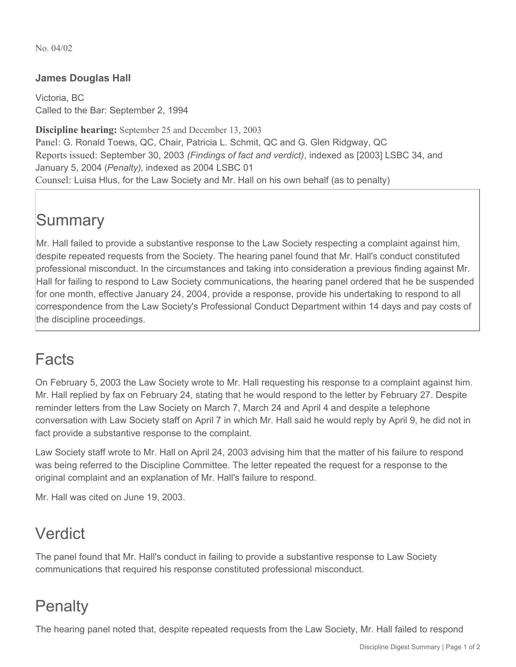No. 04/02

#### **James Douglas Hall**

Victoria, BC Called to the Bar: September 2, 1994

**Discipline hearing:** September 25 and December 13, 2003 Panel: G. Ronald Toews, QC, Chair, Patricia L. Schmit, QC and G. Glen Ridgway, QC Reports issued: September 30, 2003 *(Findings of fact and verdict)*, indexed as [2003] LSBC 34, and January 5, 2004 (*Penalty)*, indexed as 2004 LSBC 01 Counsel: Luisa Hlus, for the Law Society and Mr. Hall on his own behalf (as to penalty)

# **Summary**

Mr. Hall failed to provide a substantive response to the Law Society respecting a complaint against him, despite repeated requests from the Society. The hearing panel found that Mr. Hall's conduct constituted professional misconduct. In the circumstances and taking into consideration a previous finding against Mr. Hall for failing to respond to Law Society communications, the hearing panel ordered that he be suspended for one month, effective January 24, 2004, provide a response, provide his undertaking to respond to all correspondence from the Law Society's Professional Conduct Department within 14 days and pay costs of the discipline proceedings.

## Facts

On February 5, 2003 the Law Society wrote to Mr. Hall requesting his response to a complaint against him. Mr. Hall replied by fax on February 24, stating that he would respond to the letter by February 27. Despite reminder letters from the Law Society on March 7, March 24 and April 4 and despite a telephone conversation with Law Society staff on April 7 in which Mr. Hall said he would reply by April 9, he did not in fact provide a substantive response to the complaint.

Law Society staff wrote to Mr. Hall on April 24, 2003 advising him that the matter of his failure to respond was being referred to the Discipline Committee. The letter repeated the request for a response to the original complaint and an explanation of Mr. Hall's failure to respond.

Mr. Hall was cited on June 19, 2003.

#### Verdict

The panel found that Mr. Hall's conduct in failing to provide a substantive response to Law Society communications that required his response constituted professional misconduct.

## **Penalty**

The hearing panel noted that, despite repeated requests from the Law Society, Mr. Hall failed to respond